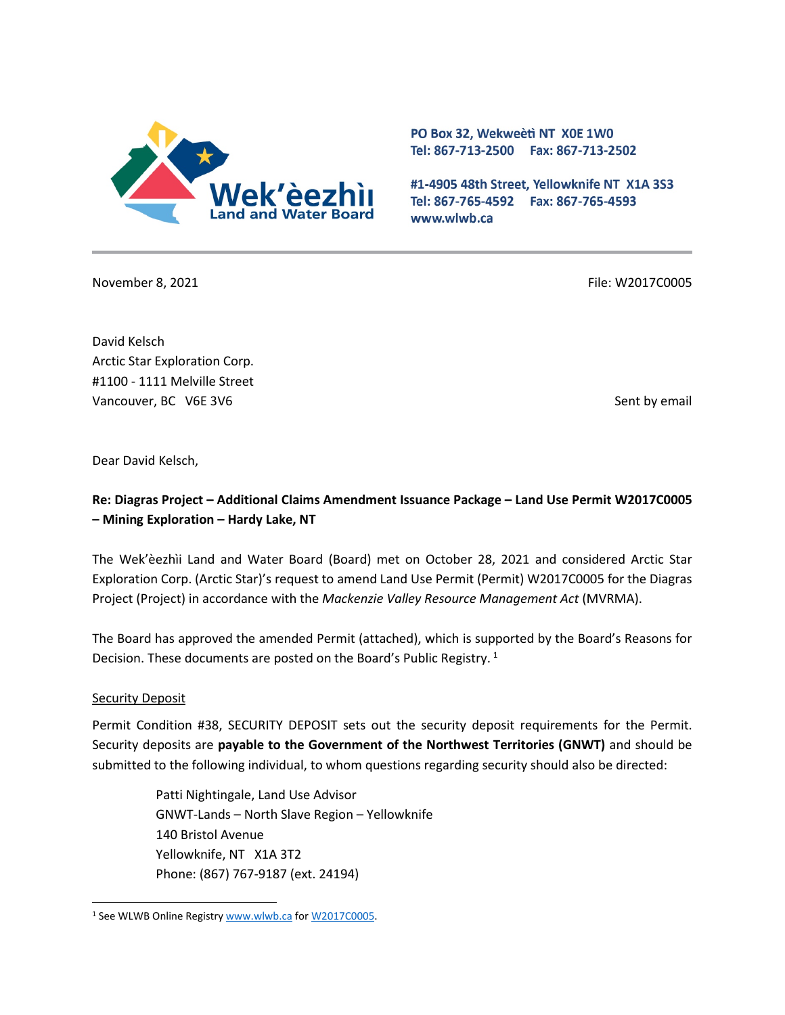

PO Box 32, Wekweeti NT X0E 1W0 Tel: 867-713-2500 Fax: 867-713-2502

#1-4905 48th Street, Yellowknife NT X1A 3S3 Tel: 867-765-4592 Fax: 867-765-4593 www.wlwb.ca

November 8, 2021 **File: W2017C0005** File: W2017C0005

David Kelsch Arctic Star Exploration Corp. #1100 - 1111 Melville Street Vancouver, BC V6E 3V6 Sent by email

Dear David Kelsch,

# **Re: Diagras Project – Additional Claims Amendment Issuance Package – Land Use Permit W2017C0005 – Mining Exploration – Hardy Lake, NT**

The Wek'èezhìi Land and Water Board (Board) met on October 28, 2021 and considered Arctic Star Exploration Corp. (Arctic Star)'s request to amend Land Use Permit (Permit) W2017C0005 for the Diagras Project (Project) in accordance with the *Mackenzie Valley Resource Management Act* (MVRMA).

The Board has approved the amended Permit (attached), which is supported by the Board's Reasons for Decision. These documents are posted on the Board's Public Registry.<sup>[1](#page-0-0)</sup>

### **Security Deposit**

Permit Condition #38, SECURITY DEPOSIT sets out the security deposit requirements for the Permit. Security deposits are **payable to the Government of the Northwest Territories (GNWT)** and should be submitted to the following individual, to whom questions regarding security should also be directed:

> Patti Nightingale, Land Use Advisor GNWT-Lands – North Slave Region – Yellowknife 140 Bristol Avenue Yellowknife, NT X1A 3T2 Phone: (867) 767-9187 (ext. 24194)

<span id="page-0-0"></span><sup>&</sup>lt;sup>1</sup> See WLWB Online Registr[y www.wlwb.ca](http://www.wlwb.ca/) for [W2017C0005.](https://wlwb.ca/registry/W2017C0005)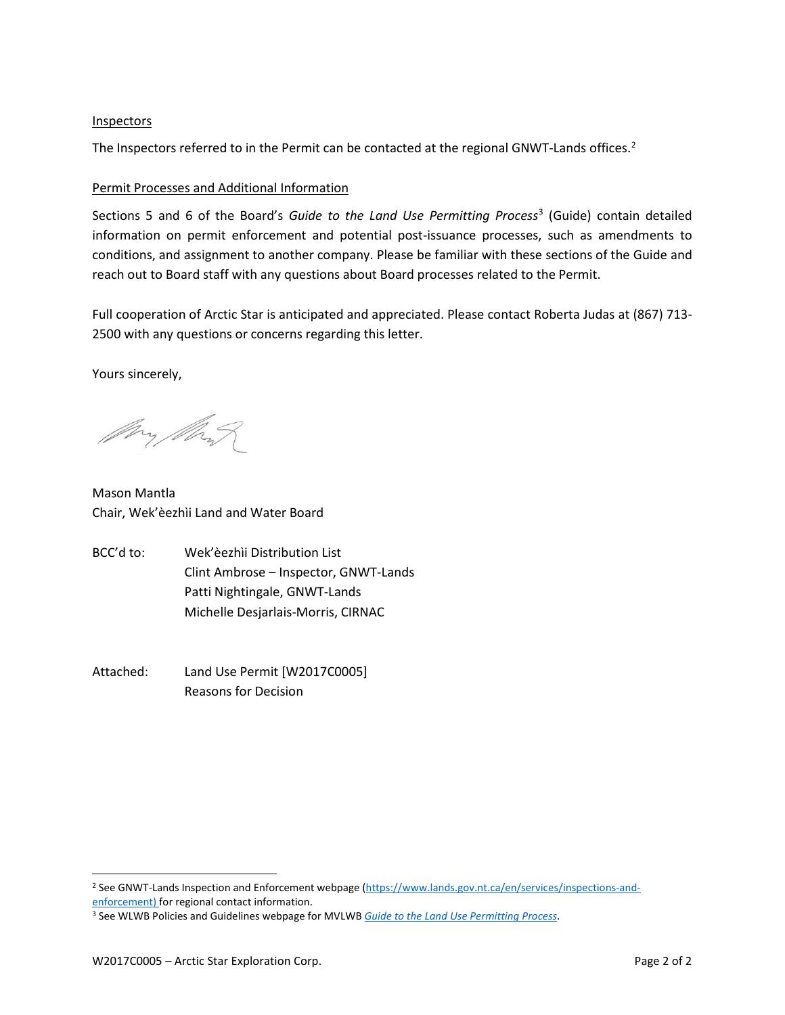### Inspectors

The Inspectors referred to in the Permit can be contacted at the regional GNWT-Lands offices.<sup>[2](#page-1-0)</sup>

### Permit Processes and Additional Information

Sections 5 and 6 of the Board's *Guide to the Land Use Permitting Process*[3](#page-1-1) (Guide) contain detailed information on permit enforcement and potential post-issuance processes, such as amendments to conditions, and assignment to another company. Please be familiar with these sections of the Guide and reach out to Board staff with any questions about Board processes related to the Permit.

Full cooperation of Arctic Star is anticipated and appreciated. Please contact Roberta Judas at (867) 713- 2500 with any questions or concerns regarding this letter.

Yours sincerely,

Mry Mart

Mason Mantla Chair, Wek'èezhìi Land and Water Board

- BCC'd to: Wek'èezhìi Distribution List Clint Ambrose – Inspector, GNWT-Lands Patti Nightingale, GNWT-Lands Michelle Desjarlais-Morris, CIRNAC
- Attached: Land Use Permit [W2017C0005] Reasons for Decision

<span id="page-1-0"></span><sup>&</sup>lt;sup>2</sup> See GNWT-Lands Inspection and Enforcement webpage [\(https://www.lands.gov.nt.ca/en/services/inspections-and](https://www.lands.gov.nt.ca/en/services/inspections-and-enforcement)[enforcement\)](https://www.lands.gov.nt.ca/en/services/inspections-and-enforcement) for regional contact information.

<span id="page-1-1"></span><sup>3</sup> See WLWB Policies and Guidelines webpage for MVLWB *[Guide to the Land Use Permitting Process](https://mvlwb.com/sites/default/files/2021-08/LWB%20Guide%20to%20the%20Land%20Use%20Permitting%20Process%20-%20FINAL%20-%20Aug%2030_21.pdf)*.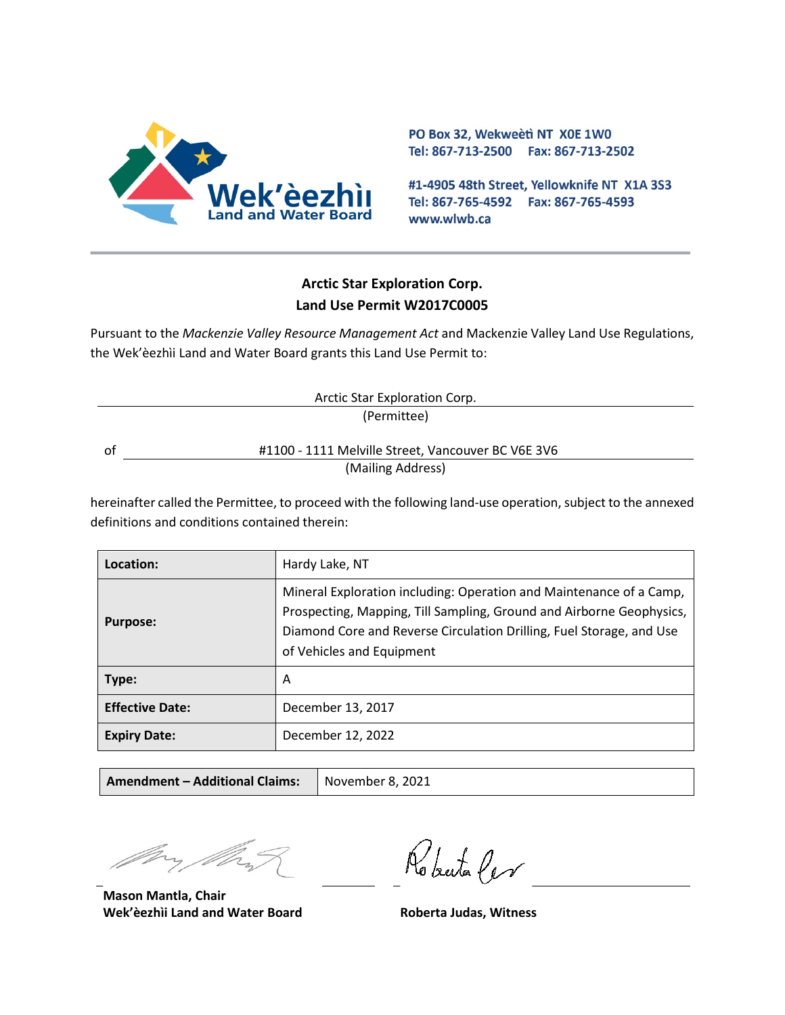

PO Box 32, Wekweeti NT X0E 1W0 Tel: 867-713-2500 Fax: 867-713-2502

#1-4905 48th Street, Yellowknife NT X1A 3S3 Tel: 867-765-4592 Fax: 867-765-4593 www.wlwb.ca

# **Arctic Star Exploration Corp. Land Use Permit W2017C0005**

Pursuant to the *Mackenzie Valley Resource Management Act* and Mackenzie Valley Land Use Regulations, the Wek'èezhìi Land and Water Board grants this Land Use Permit to:

| Arctic Star Exploration Corp. |                                                    |  |
|-------------------------------|----------------------------------------------------|--|
| (Permittee)                   |                                                    |  |
|                               |                                                    |  |
| οt                            | #1100 - 1111 Melville Street, Vancouver BC V6E 3V6 |  |
|                               | (Mailing Address)                                  |  |
|                               |                                                    |  |

hereinafter called the Permittee, to proceed with the following land-use operation, subject to the annexed definitions and conditions contained therein:

| Location:              | Hardy Lake, NT                                                                                                                                                                                                                                   |
|------------------------|--------------------------------------------------------------------------------------------------------------------------------------------------------------------------------------------------------------------------------------------------|
| <b>Purpose:</b>        | Mineral Exploration including: Operation and Maintenance of a Camp,<br>Prospecting, Mapping, Till Sampling, Ground and Airborne Geophysics,<br>Diamond Core and Reverse Circulation Drilling, Fuel Storage, and Use<br>of Vehicles and Equipment |
| Type:                  | A                                                                                                                                                                                                                                                |
| <b>Effective Date:</b> | December 13, 2017                                                                                                                                                                                                                                |
| <b>Expiry Date:</b>    | December 12, 2022                                                                                                                                                                                                                                |

| <b>Amendment - Additional Claims:</b> | November 8, 2021 |
|---------------------------------------|------------------|
|---------------------------------------|------------------|

**Mason Mantla, Chair Wek'èezhìi Land and Water Board Roberta Judas, Witness**

Roberta Cer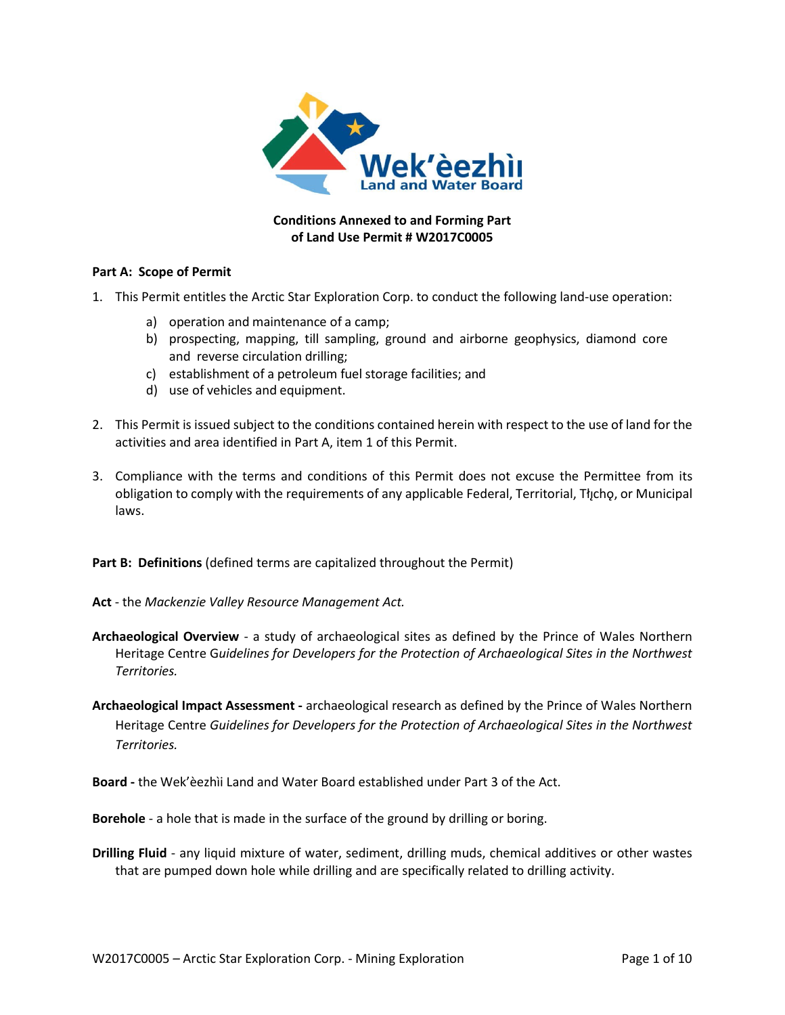

### **Conditions Annexed to and Forming Part of Land Use Permit # W2017C0005**

#### **Part A: Scope of Permit**

- 1. This Permit entitles the Arctic Star Exploration Corp. to conduct the following land-use operation:
	- a) operation and maintenance of a camp;
	- b) prospecting, mapping, till sampling, ground and airborne geophysics, diamond core and reverse circulation drilling;
	- c) establishment of a petroleum fuel storage facilities; and
	- d) use of vehicles and equipment.
- 2. This Permit is issued subject to the conditions contained herein with respect to the use of land for the activities and area identified in Part A, item 1 of this Permit.
- 3. Compliance with the terms and conditions of this Permit does not excuse the Permittee from its obligation to comply with the requirements of any applicable Federal, Territorial, Tłįchǫ, or Municipal laws.

Part B: Definitions (defined terms are capitalized throughout the Permit)

- **Act** the *Mackenzie Valley Resource Management Act.*
- **Archaeological Overview**  a study of archaeological sites as defined by the Prince of Wales Northern Heritage Centre G*uidelines for Developers for the Protection of Archaeological Sites in the Northwest Territories.*
- **Archaeological Impact Assessment -** archaeological research as defined by the Prince of Wales Northern Heritage Centre *Guidelines for Developers for the Protection of Archaeological Sites in the Northwest Territories.*

**Board -** the Wek'èezhìi Land and Water Board established under Part 3 of the Act.

**Borehole** - a hole that is made in the surface of the ground by drilling or boring.

**Drilling Fluid** - any liquid mixture of water, sediment, drilling muds, chemical additives or other wastes that are pumped down hole while drilling and are specifically related to drilling activity.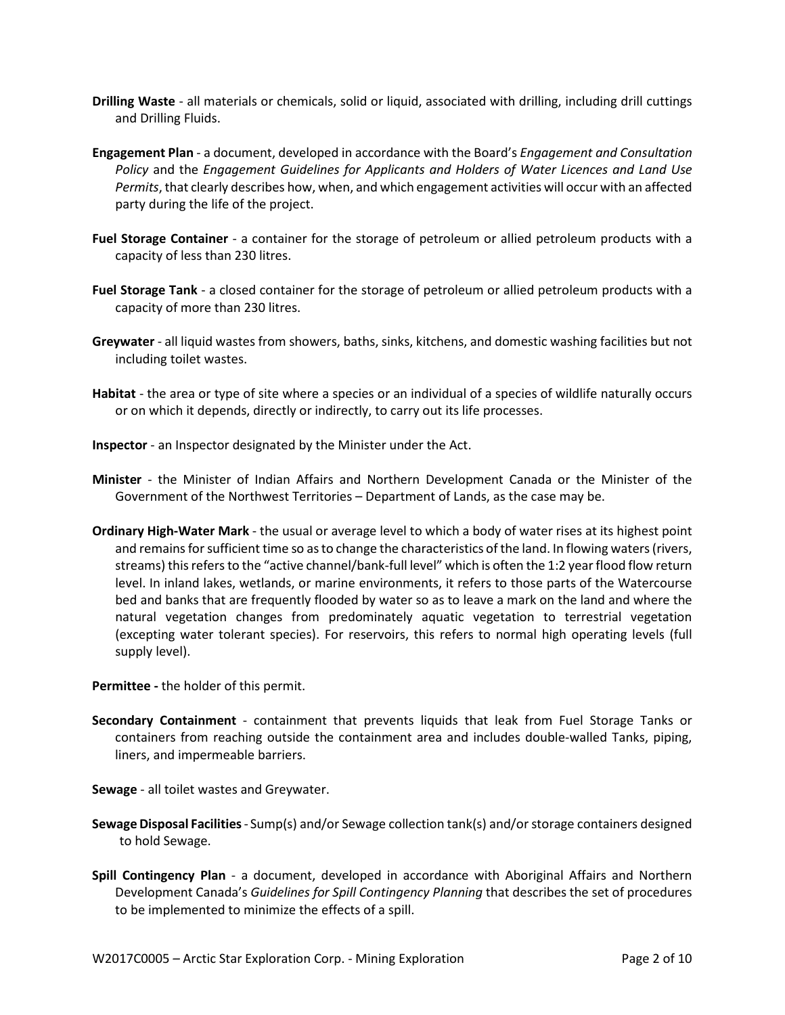- **Drilling Waste** all materials or chemicals, solid or liquid, associated with drilling, including drill cuttings and Drilling Fluids.
- **Engagement Plan**  a document, developed in accordance with the Board's *Engagement and Consultation Policy* and the *Engagement Guidelines for Applicants and Holders of Water Licences and Land Use Permits*, that clearly describes how, when, and which engagement activities will occur with an affected party during the life of the project.
- **Fuel Storage Container** a container for the storage of petroleum or allied petroleum products with a capacity of less than 230 litres.
- **Fuel Storage Tank**  a closed container for the storage of petroleum or allied petroleum products with a capacity of more than 230 litres.
- **Greywater** all liquid wastes from showers, baths, sinks, kitchens, and domestic washing facilities but not including toilet wastes.
- **Habitat** the area or type of site where a species or an individual of a species of wildlife naturally occurs or on which it depends, directly or indirectly, to carry out its life processes.
- **Inspector**  an Inspector designated by the Minister under the Act.
- **Minister** the Minister of Indian Affairs and Northern Development Canada or the Minister of the Government of the Northwest Territories – Department of Lands, as the case may be.
- **Ordinary High-Water Mark**  the usual or average level to which a body of water rises at its highest point and remains for sufficient time so as to change the characteristics of the land. In flowing waters (rivers, streams) this refers to the "active channel/bank-full level" which is often the 1:2 year flood flow return level. In inland lakes, wetlands, or marine environments, it refers to those parts of the Watercourse bed and banks that are frequently flooded by water so as to leave a mark on the land and where the natural vegetation changes from predominately aquatic vegetation to terrestrial vegetation (excepting water tolerant species). For reservoirs, this refers to normal high operating levels (full supply level).

**Permittee -** the holder of this permit.

- **Secondary Containment** containment that prevents liquids that leak from Fuel Storage Tanks or containers from reaching outside the containment area and includes double-walled Tanks, piping, liners, and impermeable barriers.
- **Sewage** all toilet wastes and Greywater.
- **SewageDisposal Facilities** Sump(s) and/or Sewage collection tank(s) and/or storage containers designed to hold Sewage.
- **Spill Contingency Plan** a document, developed in accordance with Aboriginal Affairs and Northern Development Canada's *Guidelines for Spill Contingency Planning* that describes the set of procedures to be implemented to minimize the effects of a spill.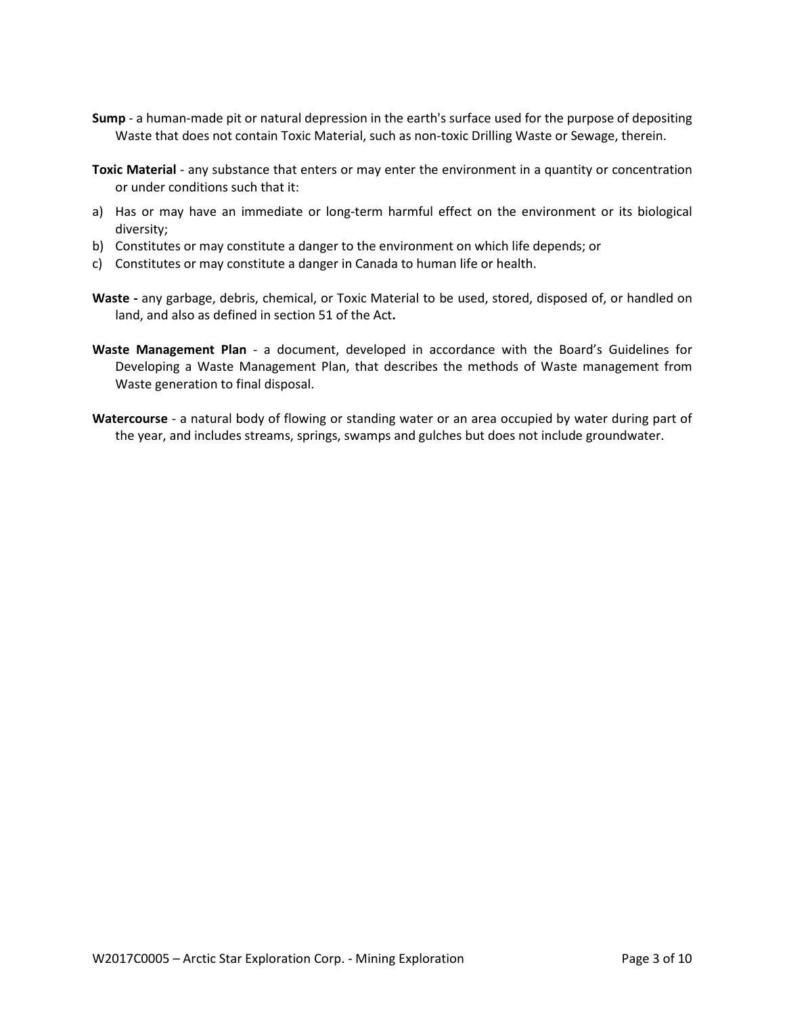- **Sump** a human-made pit or natural depression in the earth's surface used for the purpose of depositing Waste that does not contain Toxic Material, such as non-toxic Drilling Waste or Sewage, therein.
- **Toxic Material** any substance that enters or may enter the environment in a quantity or concentration or under conditions such that it:
- a) Has or may have an immediate or long-term harmful effect on the environment or its biological diversity;
- b) Constitutes or may constitute a danger to the environment on which life depends; or
- c) Constitutes or may constitute a danger in Canada to human life or health.
- **Waste -** any garbage, debris, chemical, or Toxic Material to be used, stored, disposed of, or handled on land, and also as defined in section 51 of the Act**.**
- **Waste Management Plan** a document, developed in accordance with the Board's Guidelines for Developing a Waste Management Plan, that describes the methods of Waste management from Waste generation to final disposal.
- **Watercourse** a natural body of flowing or standing water or an area occupied by water during part of the year, and includes streams, springs, swamps and gulches but does not include groundwater.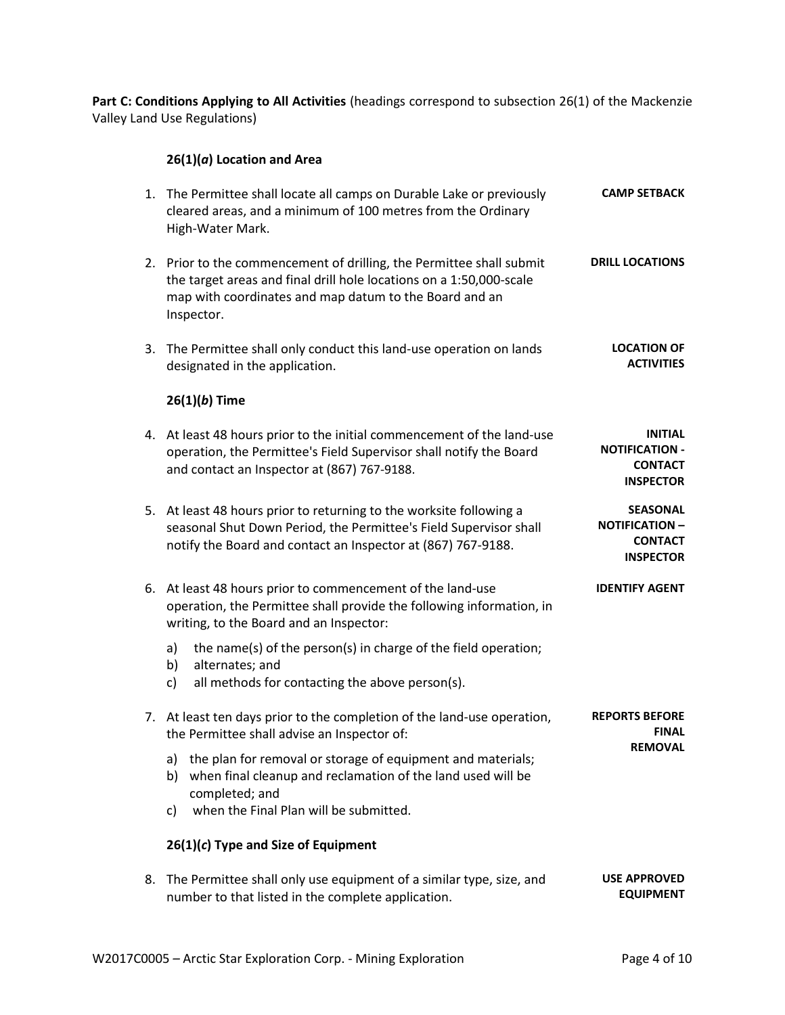Part C: Conditions Applying to All Activities (headings correspond to subsection 26(1) of the Mackenzie Valley Land Use Regulations)

# **26(1)(***a***) Location and Area**

| 1. The Permittee shall locate all camps on Durable Lake or previously<br>cleared areas, and a minimum of 100 metres from the Ordinary<br>High-Water Mark.                                                           | <b>CAMP SETBACK</b>                                                            |
|---------------------------------------------------------------------------------------------------------------------------------------------------------------------------------------------------------------------|--------------------------------------------------------------------------------|
| 2. Prior to the commencement of drilling, the Permittee shall submit<br>the target areas and final drill hole locations on a 1:50,000-scale<br>map with coordinates and map datum to the Board and an<br>Inspector. | <b>DRILL LOCATIONS</b>                                                         |
| 3. The Permittee shall only conduct this land-use operation on lands<br>designated in the application.                                                                                                              | <b>LOCATION OF</b><br><b>ACTIVITIES</b>                                        |
| $26(1)(b)$ Time                                                                                                                                                                                                     |                                                                                |
| 4. At least 48 hours prior to the initial commencement of the land-use<br>operation, the Permittee's Field Supervisor shall notify the Board<br>and contact an Inspector at (867) 767-9188.                         | <b>INITIAL</b><br><b>NOTIFICATION -</b><br><b>CONTACT</b><br><b>INSPECTOR</b>  |
| 5. At least 48 hours prior to returning to the worksite following a<br>seasonal Shut Down Period, the Permittee's Field Supervisor shall<br>notify the Board and contact an Inspector at (867) 767-9188.            | <b>SEASONAL</b><br><b>NOTIFICATION -</b><br><b>CONTACT</b><br><b>INSPECTOR</b> |
| 6. At least 48 hours prior to commencement of the land-use<br>operation, the Permittee shall provide the following information, in<br>writing, to the Board and an Inspector:                                       | <b>IDENTIFY AGENT</b>                                                          |
| the name(s) of the person(s) in charge of the field operation;<br>a)<br>alternates; and<br>b)<br>all methods for contacting the above person(s).<br>c)                                                              |                                                                                |
| 7. At least ten days prior to the completion of the land-use operation,<br>the Permittee shall advise an Inspector of:                                                                                              | <b>REPORTS BEFORE</b><br><b>FINAL</b><br><b>REMOVAL</b>                        |
| a) the plan for removal or storage of equipment and materials;<br>when final cleanup and reclamation of the land used will be<br>b)<br>completed; and                                                               |                                                                                |
| when the Final Plan will be submitted.<br>c)                                                                                                                                                                        |                                                                                |
| $26(1)(c)$ Type and Size of Equipment                                                                                                                                                                               |                                                                                |
| 8. The Permittee shall only use equipment of a similar type, size, and<br>number to that listed in the complete application.                                                                                        | <b>USE APPROVED</b><br><b>EQUIPMENT</b>                                        |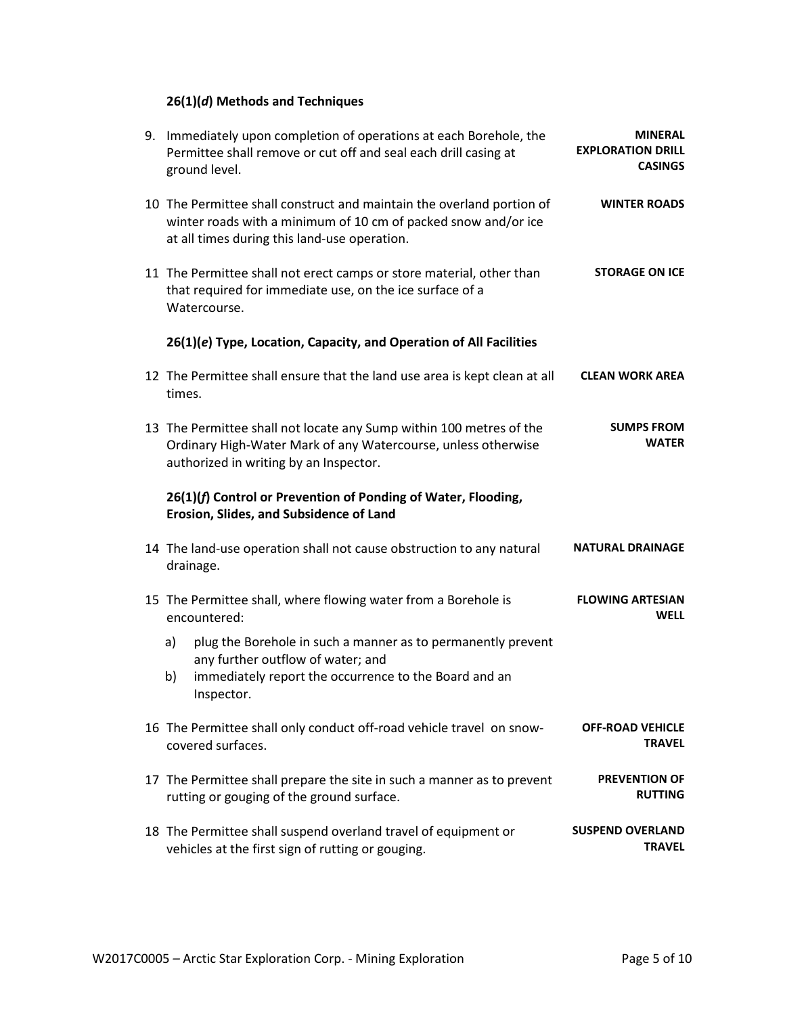# **26(1)(***d***) Methods and Techniques**

| 9. Immediately upon completion of operations at each Borehole, the<br>Permittee shall remove or cut off and seal each drill casing at<br>ground level.                                  | <b>MINERAL</b><br><b>EXPLORATION DRILL</b><br><b>CASINGS</b> |
|-----------------------------------------------------------------------------------------------------------------------------------------------------------------------------------------|--------------------------------------------------------------|
| 10 The Permittee shall construct and maintain the overland portion of<br>winter roads with a minimum of 10 cm of packed snow and/or ice<br>at all times during this land-use operation. | <b>WINTER ROADS</b>                                          |
| 11 The Permittee shall not erect camps or store material, other than<br>that required for immediate use, on the ice surface of a<br>Watercourse.                                        | <b>STORAGE ON ICE</b>                                        |
| 26(1)(e) Type, Location, Capacity, and Operation of All Facilities                                                                                                                      |                                                              |
| 12 The Permittee shall ensure that the land use area is kept clean at all<br>times.                                                                                                     | <b>CLEAN WORK AREA</b>                                       |
| 13 The Permittee shall not locate any Sump within 100 metres of the<br>Ordinary High-Water Mark of any Watercourse, unless otherwise<br>authorized in writing by an Inspector.          | <b>SUMPS FROM</b><br><b>WATER</b>                            |
| 26(1)(f) Control or Prevention of Ponding of Water, Flooding,<br>Erosion, Slides, and Subsidence of Land                                                                                |                                                              |
| 14 The land-use operation shall not cause obstruction to any natural<br>drainage.                                                                                                       | NATURAL DRAINAGE                                             |
| 15 The Permittee shall, where flowing water from a Borehole is<br>encountered:                                                                                                          | <b>FLOWING ARTESIAN</b><br><b>WELL</b>                       |
| plug the Borehole in such a manner as to permanently prevent<br>a)<br>any further outflow of water; and<br>immediately report the occurrence to the Board and an<br>b)<br>Inspector.    |                                                              |
| 16 The Permittee shall only conduct off-road vehicle travel on snow-<br>covered surfaces.                                                                                               | <b>OFF-ROAD VEHICLE</b><br><b>TRAVEL</b>                     |
| 17 The Permittee shall prepare the site in such a manner as to prevent<br>rutting or gouging of the ground surface.                                                                     | <b>PREVENTION OF</b><br><b>RUTTING</b>                       |
| 18 The Permittee shall suspend overland travel of equipment or<br>vehicles at the first sign of rutting or gouging.                                                                     | <b>SUSPEND OVERLAND</b><br><b>TRAVEL</b>                     |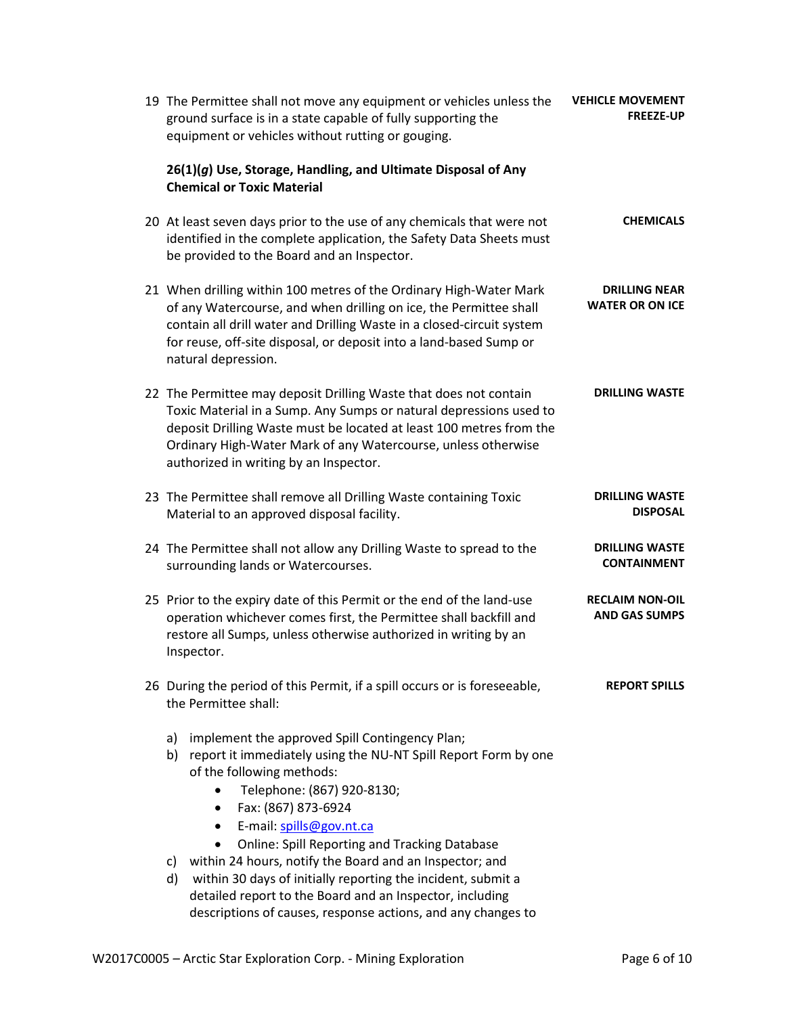| 19 The Permittee shall not move any equipment or vehicles unless the<br>ground surface is in a state capable of fully supporting the<br>equipment or vehicles without rutting or gouging.                                                                                                                                                 | <b>VEHICLE MOVEMENT</b><br><b>FREEZE-UP</b>    |
|-------------------------------------------------------------------------------------------------------------------------------------------------------------------------------------------------------------------------------------------------------------------------------------------------------------------------------------------|------------------------------------------------|
| 26(1)(g) Use, Storage, Handling, and Ultimate Disposal of Any<br><b>Chemical or Toxic Material</b>                                                                                                                                                                                                                                        |                                                |
| 20 At least seven days prior to the use of any chemicals that were not<br>identified in the complete application, the Safety Data Sheets must<br>be provided to the Board and an Inspector.                                                                                                                                               | <b>CHEMICALS</b>                               |
| 21 When drilling within 100 metres of the Ordinary High-Water Mark<br>of any Watercourse, and when drilling on ice, the Permittee shall<br>contain all drill water and Drilling Waste in a closed-circuit system<br>for reuse, off-site disposal, or deposit into a land-based Sump or<br>natural depression.                             | <b>DRILLING NEAR</b><br><b>WATER OR ON ICE</b> |
| 22 The Permittee may deposit Drilling Waste that does not contain<br>Toxic Material in a Sump. Any Sumps or natural depressions used to<br>deposit Drilling Waste must be located at least 100 metres from the<br>Ordinary High-Water Mark of any Watercourse, unless otherwise<br>authorized in writing by an Inspector.                 | <b>DRILLING WASTE</b>                          |
| 23 The Permittee shall remove all Drilling Waste containing Toxic<br>Material to an approved disposal facility.                                                                                                                                                                                                                           | <b>DRILLING WASTE</b><br><b>DISPOSAL</b>       |
| 24 The Permittee shall not allow any Drilling Waste to spread to the<br>surrounding lands or Watercourses.                                                                                                                                                                                                                                | <b>DRILLING WASTE</b><br><b>CONTAINMENT</b>    |
| 25 Prior to the expiry date of this Permit or the end of the land-use<br>operation whichever comes first, the Permittee shall backfill and<br>restore all Sumps, unless otherwise authorized in writing by an<br>Inspector.                                                                                                               | <b>RECLAIM NON-OIL</b><br><b>AND GAS SUMPS</b> |
| 26 During the period of this Permit, if a spill occurs or is foreseeable,<br>the Permittee shall:                                                                                                                                                                                                                                         | <b>REPORT SPILLS</b>                           |
| implement the approved Spill Contingency Plan;<br>a)<br>report it immediately using the NU-NT Spill Report Form by one<br>b)<br>of the following methods:<br>Telephone: (867) 920-8130;<br>$\bullet$<br>Fax: (867) 873-6924<br>$\bullet$<br>E-mail: spills@gov.nt.ca<br>$\bullet$<br><b>Online: Spill Reporting and Tracking Database</b> |                                                |
| within 24 hours, notify the Board and an Inspector; and<br>c)<br>within 30 days of initially reporting the incident, submit a<br>d)<br>detailed report to the Board and an Inspector, including<br>descriptions of causes, response actions, and any changes to                                                                           |                                                |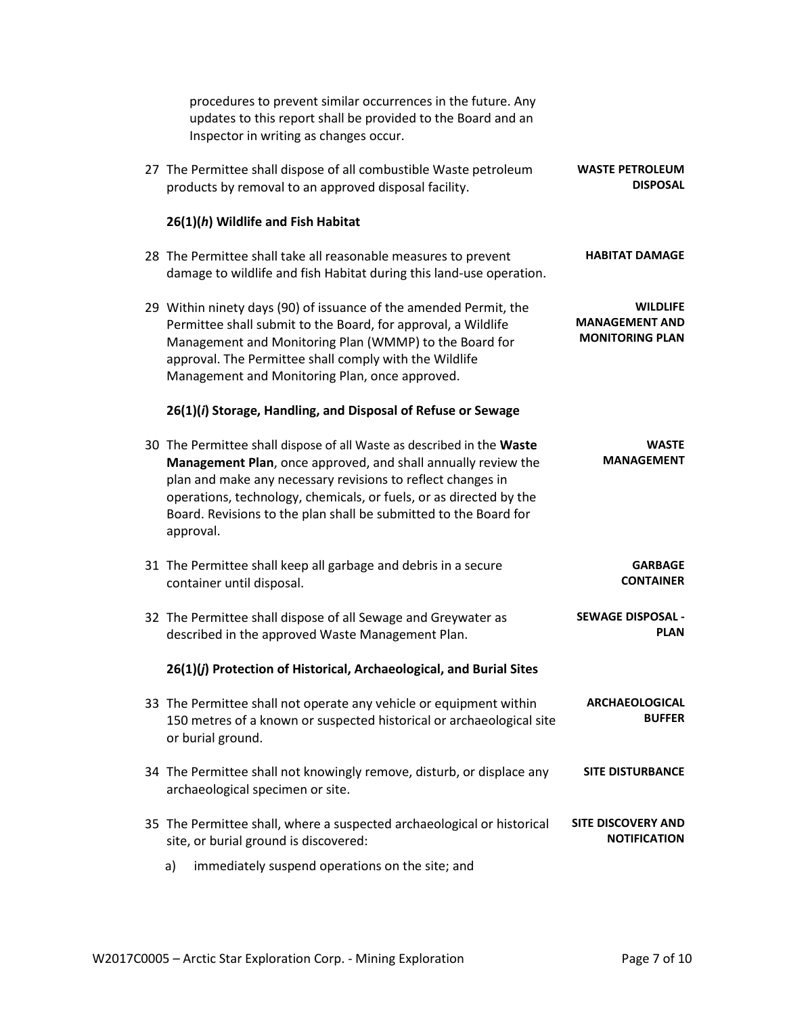|                                                                    | procedures to prevent similar occurrences in the future. Any<br>updates to this report shall be provided to the Board and an<br>Inspector in writing as changes occur.                                                                                                                                                                                       |  |
|--------------------------------------------------------------------|--------------------------------------------------------------------------------------------------------------------------------------------------------------------------------------------------------------------------------------------------------------------------------------------------------------------------------------------------------------|--|
| <b>WASTE PETROLEUM</b><br><b>DISPOSAL</b>                          | 27 The Permittee shall dispose of all combustible Waste petroleum<br>products by removal to an approved disposal facility.                                                                                                                                                                                                                                   |  |
|                                                                    | 26(1)(h) Wildlife and Fish Habitat                                                                                                                                                                                                                                                                                                                           |  |
| <b>HABITAT DAMAGE</b>                                              | 28 The Permittee shall take all reasonable measures to prevent<br>damage to wildlife and fish Habitat during this land-use operation.                                                                                                                                                                                                                        |  |
| <b>WILDLIFE</b><br><b>MANAGEMENT AND</b><br><b>MONITORING PLAN</b> | 29 Within ninety days (90) of issuance of the amended Permit, the<br>Permittee shall submit to the Board, for approval, a Wildlife<br>Management and Monitoring Plan (WMMP) to the Board for<br>approval. The Permittee shall comply with the Wildlife<br>Management and Monitoring Plan, once approved.                                                     |  |
|                                                                    | 26(1)(i) Storage, Handling, and Disposal of Refuse or Sewage                                                                                                                                                                                                                                                                                                 |  |
| <b>WASTE</b><br><b>MANAGEMENT</b>                                  | 30 The Permittee shall dispose of all Waste as described in the Waste<br>Management Plan, once approved, and shall annually review the<br>plan and make any necessary revisions to reflect changes in<br>operations, technology, chemicals, or fuels, or as directed by the<br>Board. Revisions to the plan shall be submitted to the Board for<br>approval. |  |
| <b>GARBAGE</b><br><b>CONTAINER</b>                                 | 31 The Permittee shall keep all garbage and debris in a secure<br>container until disposal.                                                                                                                                                                                                                                                                  |  |
| <b>SEWAGE DISPOSAL -</b><br><b>PLAN</b>                            | 32 The Permittee shall dispose of all Sewage and Greywater as<br>described in the approved Waste Management Plan.                                                                                                                                                                                                                                            |  |
|                                                                    | 26(1)(j) Protection of Historical, Archaeological, and Burial Sites                                                                                                                                                                                                                                                                                          |  |
| <b>ARCHAEOLOGICAL</b><br><b>BUFFER</b>                             | 33 The Permittee shall not operate any vehicle or equipment within<br>150 metres of a known or suspected historical or archaeological site<br>or burial ground.                                                                                                                                                                                              |  |
| <b>SITE DISTURBANCE</b>                                            | 34 The Permittee shall not knowingly remove, disturb, or displace any<br>archaeological specimen or site.                                                                                                                                                                                                                                                    |  |
| <b>SITE DISCOVERY AND</b><br><b>NOTIFICATION</b>                   | 35 The Permittee shall, where a suspected archaeological or historical<br>site, or burial ground is discovered:                                                                                                                                                                                                                                              |  |
|                                                                    | immediately suspend operations on the site; and<br>a)                                                                                                                                                                                                                                                                                                        |  |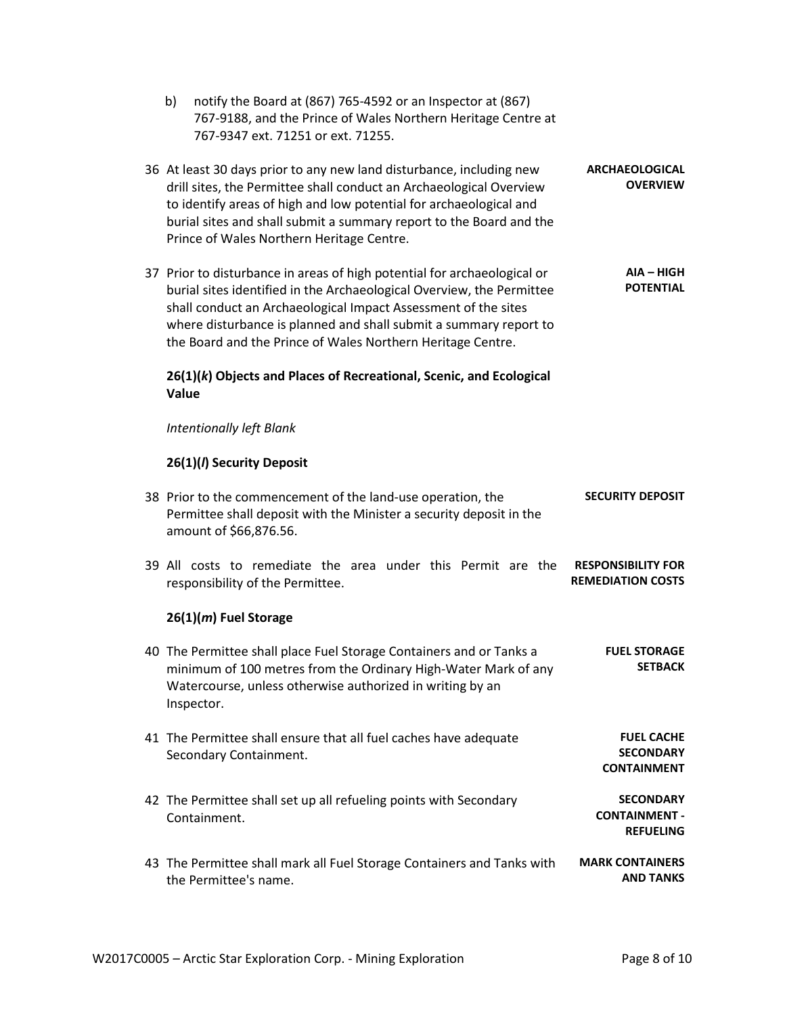| notify the Board at (867) 765-4592 or an Inspector at (867)<br>b)<br>767-9188, and the Prince of Wales Northern Heritage Centre at<br>767-9347 ext. 71251 or ext. 71255.                                                                                                                                                                                |                                                              |
|---------------------------------------------------------------------------------------------------------------------------------------------------------------------------------------------------------------------------------------------------------------------------------------------------------------------------------------------------------|--------------------------------------------------------------|
| 36 At least 30 days prior to any new land disturbance, including new<br>drill sites, the Permittee shall conduct an Archaeological Overview<br>to identify areas of high and low potential for archaeological and<br>burial sites and shall submit a summary report to the Board and the<br>Prince of Wales Northern Heritage Centre.                   | <b>ARCHAEOLOGICAL</b><br><b>OVERVIEW</b>                     |
| 37 Prior to disturbance in areas of high potential for archaeological or<br>burial sites identified in the Archaeological Overview, the Permittee<br>shall conduct an Archaeological Impact Assessment of the sites<br>where disturbance is planned and shall submit a summary report to<br>the Board and the Prince of Wales Northern Heritage Centre. | AIA - HIGH<br><b>POTENTIAL</b>                               |
| 26(1)(k) Objects and Places of Recreational, Scenic, and Ecological<br>Value                                                                                                                                                                                                                                                                            |                                                              |
| <b>Intentionally left Blank</b>                                                                                                                                                                                                                                                                                                                         |                                                              |
| 26(1)(/) Security Deposit                                                                                                                                                                                                                                                                                                                               |                                                              |
| 38 Prior to the commencement of the land-use operation, the<br>Permittee shall deposit with the Minister a security deposit in the<br>amount of \$66,876.56.                                                                                                                                                                                            | <b>SECURITY DEPOSIT</b>                                      |
| 39 All costs to remediate the area under this Permit are the<br>responsibility of the Permittee.                                                                                                                                                                                                                                                        | <b>RESPONSIBILITY FOR</b><br><b>REMEDIATION COSTS</b>        |
| $26(1)(m)$ Fuel Storage                                                                                                                                                                                                                                                                                                                                 |                                                              |
| 40 The Permittee shall place Fuel Storage Containers and or Tanks a<br>minimum of 100 metres from the Ordinary High-Water Mark of any<br>Watercourse, unless otherwise authorized in writing by an<br>Inspector.                                                                                                                                        | <b>FUEL STORAGE</b><br><b>SFTRACK</b>                        |
| 41 The Permittee shall ensure that all fuel caches have adequate<br>Secondary Containment.                                                                                                                                                                                                                                                              | <b>FUEL CACHE</b><br><b>SECONDARY</b><br><b>CONTAINMENT</b>  |
| 42 The Permittee shall set up all refueling points with Secondary<br>Containment.                                                                                                                                                                                                                                                                       | <b>SECONDARY</b><br><b>CONTAINMENT -</b><br><b>REFUELING</b> |
| 43 The Permittee shall mark all Fuel Storage Containers and Tanks with<br>the Permittee's name.                                                                                                                                                                                                                                                         | <b>MARK CONTAINERS</b><br><b>AND TANKS</b>                   |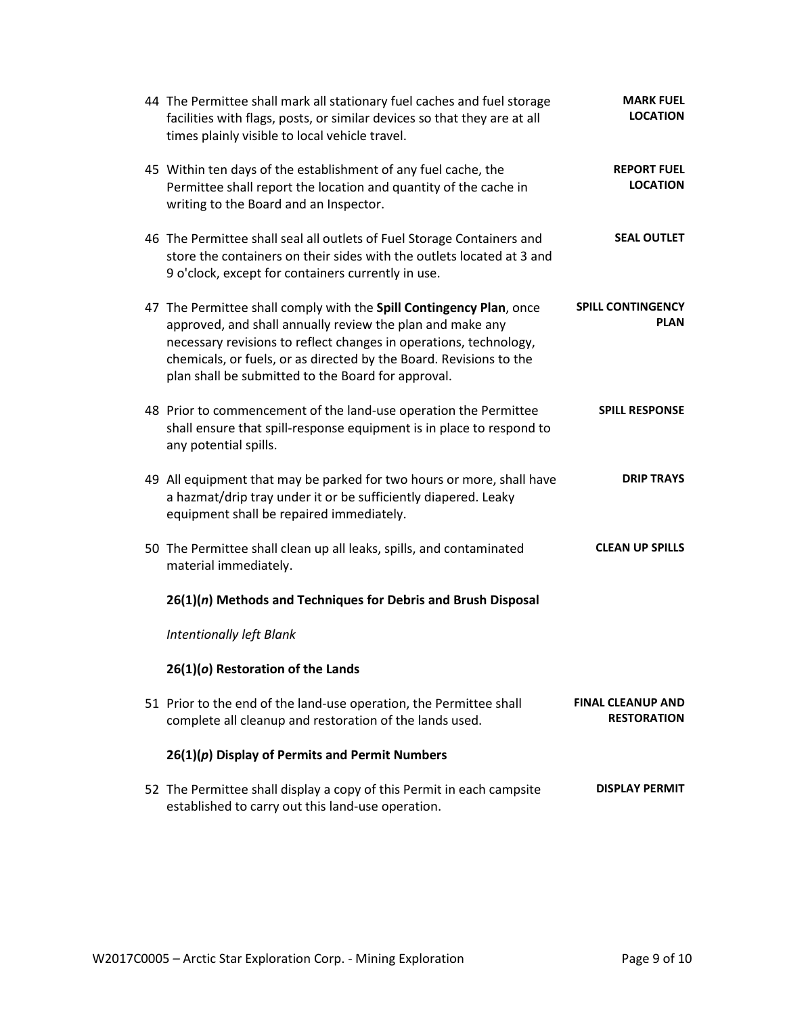| 44 The Permittee shall mark all stationary fuel caches and fuel storage<br>facilities with flags, posts, or similar devices so that they are at all<br>times plainly visible to local vehicle travel.                                                                                                                             | <b>MARK FUEL</b><br><b>LOCATION</b>            |
|-----------------------------------------------------------------------------------------------------------------------------------------------------------------------------------------------------------------------------------------------------------------------------------------------------------------------------------|------------------------------------------------|
| 45 Within ten days of the establishment of any fuel cache, the<br>Permittee shall report the location and quantity of the cache in<br>writing to the Board and an Inspector.                                                                                                                                                      | <b>REPORT FUEL</b><br><b>LOCATION</b>          |
| 46 The Permittee shall seal all outlets of Fuel Storage Containers and<br>store the containers on their sides with the outlets located at 3 and<br>9 o'clock, except for containers currently in use.                                                                                                                             | <b>SEAL OUTLET</b>                             |
| 47 The Permittee shall comply with the Spill Contingency Plan, once<br>approved, and shall annually review the plan and make any<br>necessary revisions to reflect changes in operations, technology,<br>chemicals, or fuels, or as directed by the Board. Revisions to the<br>plan shall be submitted to the Board for approval. | <b>SPILL CONTINGENCY</b><br><b>PLAN</b>        |
| 48 Prior to commencement of the land-use operation the Permittee<br>shall ensure that spill-response equipment is in place to respond to<br>any potential spills.                                                                                                                                                                 | <b>SPILL RESPONSE</b>                          |
| 49 All equipment that may be parked for two hours or more, shall have<br>a hazmat/drip tray under it or be sufficiently diapered. Leaky<br>equipment shall be repaired immediately.                                                                                                                                               | <b>DRIP TRAYS</b>                              |
| 50 The Permittee shall clean up all leaks, spills, and contaminated<br>material immediately.                                                                                                                                                                                                                                      | <b>CLEAN UP SPILLS</b>                         |
| 26(1)(n) Methods and Techniques for Debris and Brush Disposal                                                                                                                                                                                                                                                                     |                                                |
| Intentionally left Blank                                                                                                                                                                                                                                                                                                          |                                                |
| 26(1)(o) Restoration of the Lands                                                                                                                                                                                                                                                                                                 |                                                |
| 51 Prior to the end of the land-use operation, the Permittee shall<br>complete all cleanup and restoration of the lands used.                                                                                                                                                                                                     | <b>FINAL CLEANUP AND</b><br><b>RESTORATION</b> |
| $26(1)(p)$ Display of Permits and Permit Numbers                                                                                                                                                                                                                                                                                  |                                                |
| 52 The Permittee shall display a copy of this Permit in each campsite<br>established to carry out this land-use operation.                                                                                                                                                                                                        | <b>DISPLAY PERMIT</b>                          |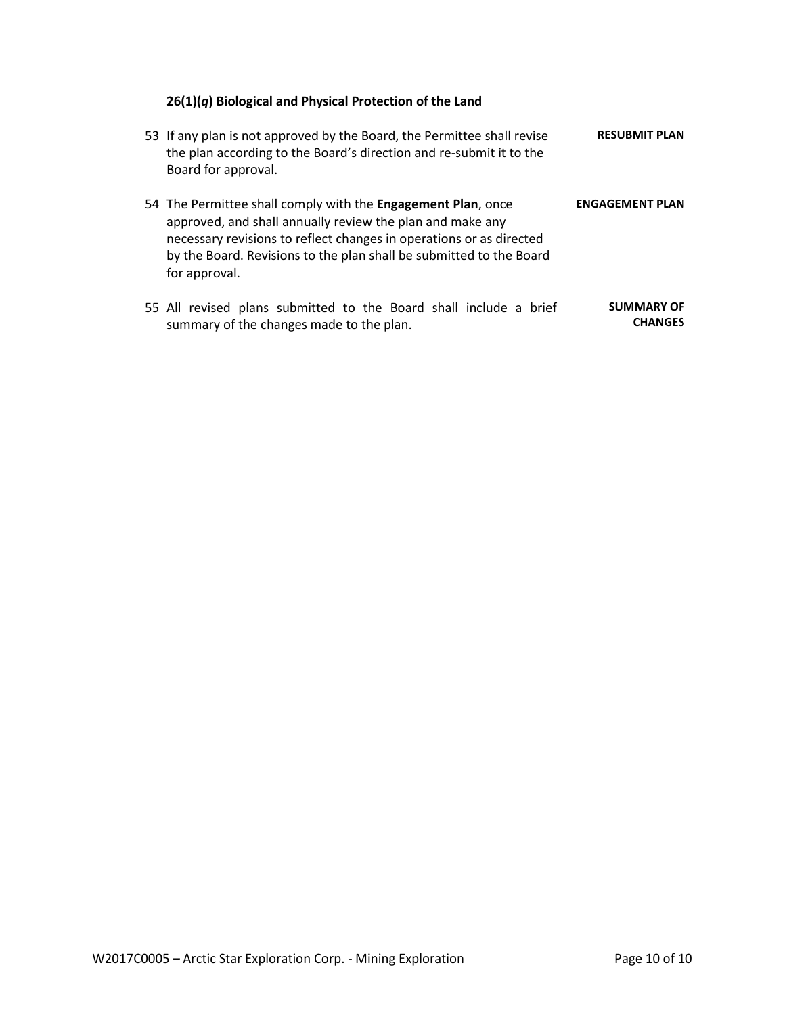# **26(1)(***q***) Biological and Physical Protection of the Land**

| 53 If any plan is not approved by the Board, the Permittee shall revise<br>the plan according to the Board's direction and re-submit it to the<br>Board for approval.                                                                                                                    | <b>RESUBMIT PLAN</b>                |
|------------------------------------------------------------------------------------------------------------------------------------------------------------------------------------------------------------------------------------------------------------------------------------------|-------------------------------------|
| 54 The Permittee shall comply with the Engagement Plan, once<br>approved, and shall annually review the plan and make any<br>necessary revisions to reflect changes in operations or as directed<br>by the Board. Revisions to the plan shall be submitted to the Board<br>for approval. | <b>ENGAGEMENT PLAN</b>              |
| 55 All revised plans submitted to the Board shall include a brief<br>summary of the changes made to the plan.                                                                                                                                                                            | <b>SUMMARY OF</b><br><b>CHANGES</b> |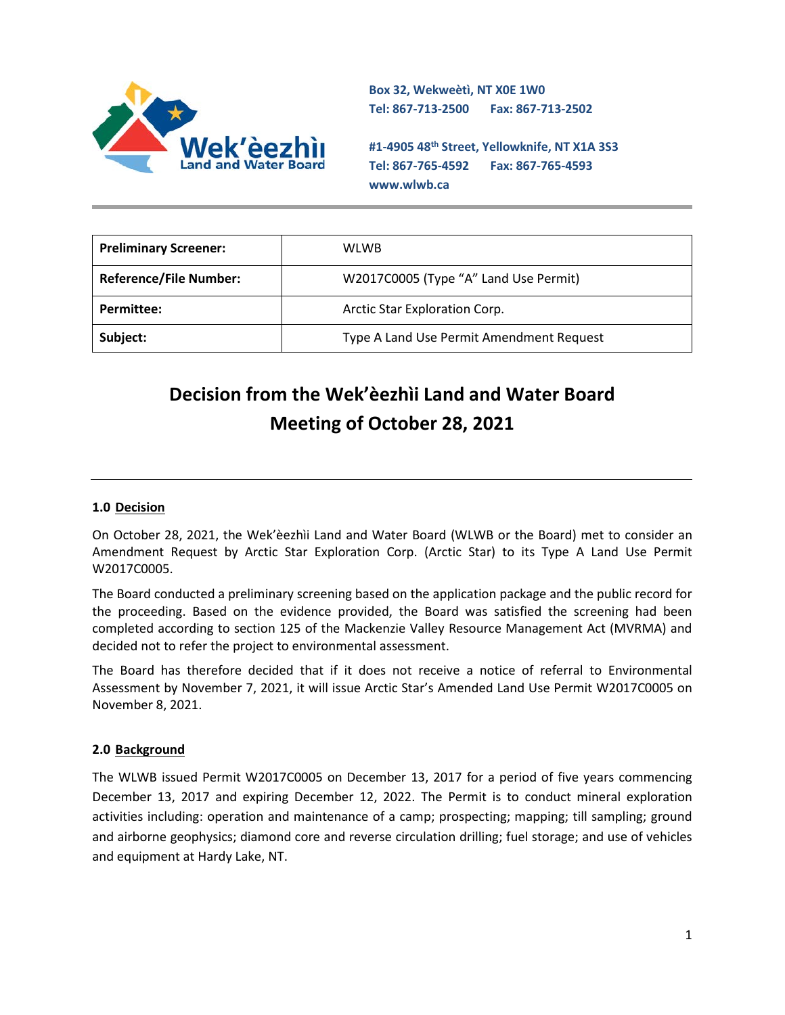

**Box 32, Wekweètì, NT X0E 1W0 Tel: 867-713-2500 Fax: 867-713-2502** 

**#1-4905 48th Street, Yellowknife, NT X1A 3S3 Tel: 867-765-4592 Fax: 867-765-4593 www.wlwb.ca**

| <b>Preliminary Screener:</b>  | <b>WLWB</b>                              |
|-------------------------------|------------------------------------------|
| <b>Reference/File Number:</b> | W2017C0005 (Type "A" Land Use Permit)    |
| Permittee:                    | Arctic Star Exploration Corp.            |
| Subject:                      | Type A Land Use Permit Amendment Request |

# **Decision from the Wek'èezhìi Land and Water Board Meeting of October 28, 2021**

### **1.0 Decision**

On October 28, 2021, the Wek'èezhìi Land and Water Board (WLWB or the Board) met to consider an Amendment Request by Arctic Star Exploration Corp. (Arctic Star) to its Type A Land Use Permit W2017C0005.

The Board conducted a preliminary screening based on the application package and the public record for the proceeding. Based on the evidence provided, the Board was satisfied the screening had been completed according to section 125 of the Mackenzie Valley Resource Management Act (MVRMA) and decided not to refer the project to environmental assessment.

The Board has therefore decided that if it does not receive a notice of referral to Environmental Assessment by November 7, 2021, it will issue Arctic Star's Amended Land Use Permit W2017C0005 on November 8, 2021.

### **2.0 Background**

The WLWB issued Permit W2017C0005 on December 13, 2017 for a period of five years commencing December 13, 2017 and expiring December 12, 2022. The Permit is to conduct mineral exploration activities including: operation and maintenance of a camp; prospecting; mapping; till sampling; ground and airborne geophysics; diamond core and reverse circulation drilling; fuel storage; and use of vehicles and equipment at Hardy Lake, NT.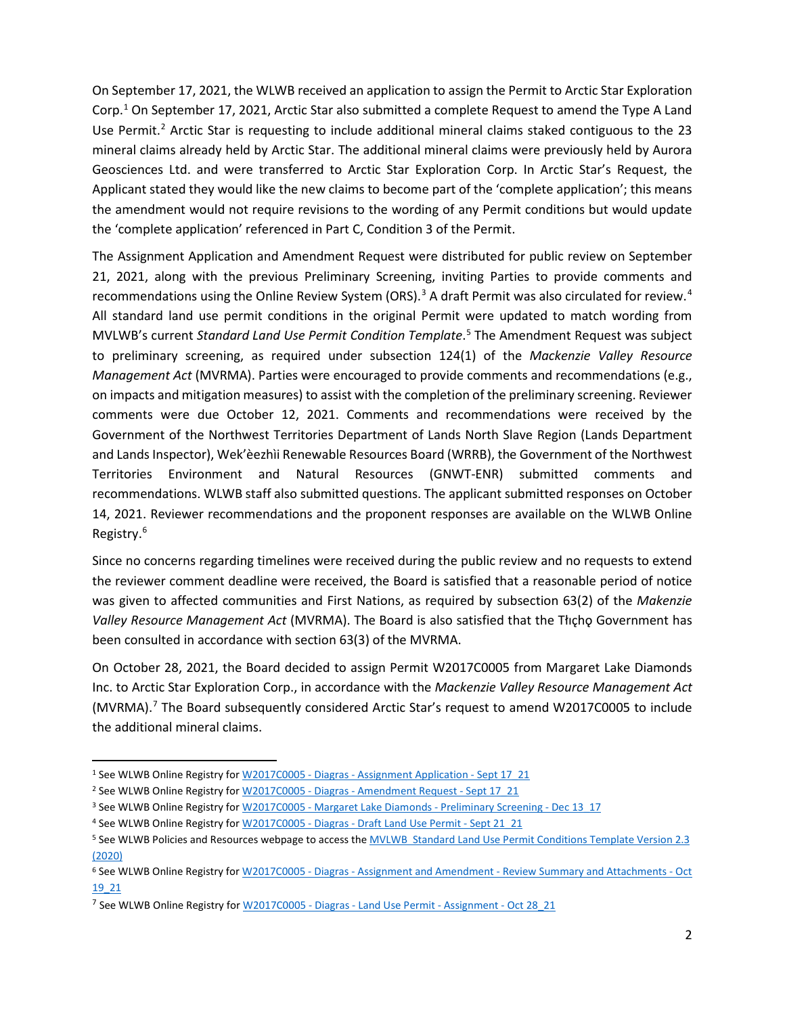On September 17, 2021, the WLWB received an application to assign the Permit to Arctic Star Exploration Corp.<sup>[1](#page-14-0)</sup> On September 17, 2021, Arctic Star also submitted a complete Request to amend the Type A Land Use Permit.<sup>[2](#page-14-1)</sup> Arctic Star is requesting to include additional mineral claims staked contiguous to the 23 mineral claims already held by Arctic Star. The additional mineral claims were previously held by Aurora Geosciences Ltd. and were transferred to Arctic Star Exploration Corp. In Arctic Star's Request, the Applicant stated they would like the new claims to become part of the 'complete application'; this means the amendment would not require revisions to the wording of any Permit conditions but would update the 'complete application' referenced in Part C, Condition 3 of the Permit.

The Assignment Application and Amendment Request were distributed for public review on September 21, 2021, along with the previous Preliminary Screening, inviting Parties to provide comments and recommendations using the Online Review System (ORS).<sup>[3](#page-14-2)</sup> A draft Permit was also circulated for review.<sup>[4](#page-14-3)</sup> All standard land use permit conditions in the original Permit were updated to match wording from MVLWB's current *Standard Land Use Permit Condition Template*. [5](#page-14-4) The Amendment Request was subject to preliminary screening, as required under subsection 124(1) of the *Mackenzie Valley Resource Management Act* (MVRMA). Parties were encouraged to provide comments and recommendations (e.g., on impacts and mitigation measures) to assist with the completion of the preliminary screening. Reviewer comments were due October 12, 2021. Comments and recommendations were received by the Government of the Northwest Territories Department of Lands North Slave Region (Lands Department and Lands Inspector), Wek'èezhìi Renewable Resources Board (WRRB), the Government of the Northwest Territories Environment and Natural Resources (GNWT-ENR) submitted comments and recommendations. WLWB staff also submitted questions. The applicant submitted responses on October 14, 2021. Reviewer recommendations and the proponent responses are available on the WLWB Online Registry.<sup>[6](#page-14-5)</sup>

Since no concerns regarding timelines were received during the public review and no requests to extend the reviewer comment deadline were received, the Board is satisfied that a reasonable period of notice was given to affected communities and First Nations, as required by subsection 63(2) of the *Makenzie Valley Resource Management Act (MVRMA).* The Board is also satisfied that the Tłıcho Government has been consulted in accordance with section 63(3) of the MVRMA.

On October 28, 2021, the Board decided to assign Permit W2017C0005 from Margaret Lake Diamonds Inc. to Arctic Star Exploration Corp., in accordance with the *Mackenzie Valley Resource Management Act*  (MVRMA).[7](#page-14-6) The Board subsequently considered Arctic Star's request to amend W2017C0005 to include the additional mineral claims.

<span id="page-14-0"></span><sup>&</sup>lt;sup>1</sup> See WLWB Online Registry for W2017C0005 - Diagras - [Assignment Application -](http://registry.mvlwb.ca/Documents/W2017C0005/W2017C0005%20-%20Diagras%20-%20Assignment%20Application%20-%20Sept%2017_21.pdf) Sept 17 21

<span id="page-14-1"></span><sup>2</sup> See WLWB Online Registry for W2017C0005 - Diagras - [Amendment Request -](http://registry.mvlwb.ca/Documents/W2017C0005/W2017C0005%20-%20Diagras%20-%20Amendment%20Request%20-%20Sept%2017_21.pdf) Sept 17\_21

<span id="page-14-2"></span><sup>&</sup>lt;sup>3</sup> See WLWB Online Registry for W2017C0005 - [Margaret Lake Diamonds -](http://registry.mvlwb.ca/Documents/W2017C0005/W2017C0005%20-%20Margaret%20Lake%20Diamonds%20-%20Preliminary%20Screening%20-%20Dec%2013_17.pdf) Preliminary Screening - Dec 13\_17

<span id="page-14-3"></span><sup>&</sup>lt;sup>4</sup> See WLWB Online Registry for W2017C0005 - Diagras - [Draft Land Use Permit -](http://registry.mvlwb.ca/Documents/W2017C0005/W2017C0005%20-%20Diagras%20-%20Draft%20Land%20Use%20Permit%20-%20Sept%2021_21.pdf) Sept 21\_21

<span id="page-14-4"></span><sup>5</sup> See WLWB Policies and Resources webpage to access th[e MVLWB Standard Land Use Permit Conditions Template Version 2.3](https://mvlwb.com/sites/default/files/standard_land_use_permit_conditions_template_-_public_version_2.3_-_aug_7_20.pdf)  [\(2020\)](https://mvlwb.com/sites/default/files/standard_land_use_permit_conditions_template_-_public_version_2.3_-_aug_7_20.pdf)

<span id="page-14-5"></span><sup>6</sup> See WLWB Online Registry for W2017C0005 - Diagras - Assignment and Amendment - [Review Summary and Attachments -](http://registry.mvlwb.ca/Documents/W2017C0005/W2017C0005%20-%20Diagras%20-%20Assignment%20and%20Amendment%20-%20Review%20Summary%20and%20Attachments%20-%20Oct%2019_21.pdf) Oct [19\\_21](http://registry.mvlwb.ca/Documents/W2017C0005/W2017C0005%20-%20Diagras%20-%20Assignment%20and%20Amendment%20-%20Review%20Summary%20and%20Attachments%20-%20Oct%2019_21.pdf)

<span id="page-14-6"></span><sup>&</sup>lt;sup>7</sup> See WLWB Online Registry for W2017C0005 - Diagras - [Land Use Permit -](http://registry.mvlwb.ca/Documents/W2017C0005/W2017C0005%20-%20Diagras%20-%20Land%20Use%20Permit%20-%20Assignment%20-%20Oct%2028_21.pdf) Assignment - Oct 28 21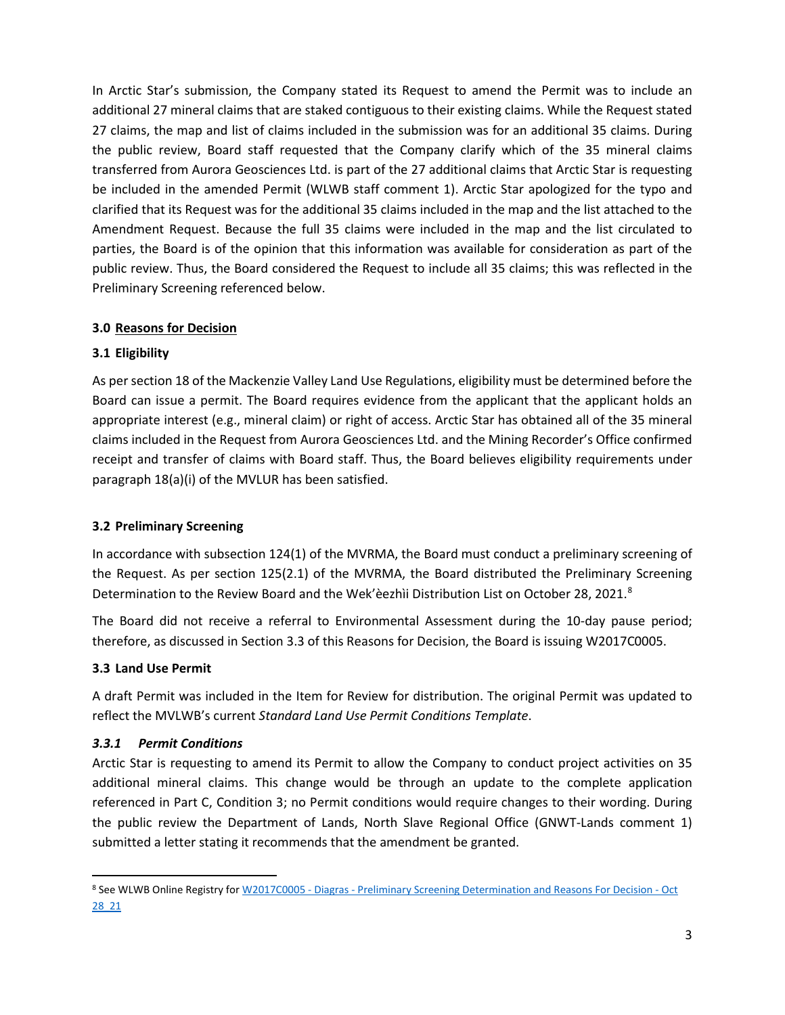In Arctic Star's submission, the Company stated its Request to amend the Permit was to include an additional 27 mineral claims that are staked contiguous to their existing claims. While the Request stated 27 claims, the map and list of claims included in the submission was for an additional 35 claims. During the public review, Board staff requested that the Company clarify which of the 35 mineral claims transferred from Aurora Geosciences Ltd. is part of the 27 additional claims that Arctic Star is requesting be included in the amended Permit (WLWB staff comment 1). Arctic Star apologized for the typo and clarified that its Request was for the additional 35 claims included in the map and the list attached to the Amendment Request. Because the full 35 claims were included in the map and the list circulated to parties, the Board is of the opinion that this information was available for consideration as part of the public review. Thus, the Board considered the Request to include all 35 claims; this was reflected in the Preliminary Screening referenced below.

## **3.0 Reasons for Decision**

## **3.1 Eligibility**

As per section 18 of the Mackenzie Valley Land Use Regulations, eligibility must be determined before the Board can issue a permit. The Board requires evidence from the applicant that the applicant holds an appropriate interest (e.g., mineral claim) or right of access. Arctic Star has obtained all of the 35 mineral claims included in the Request from Aurora Geosciences Ltd. and the Mining Recorder's Office confirmed receipt and transfer of claims with Board staff. Thus, the Board believes eligibility requirements under paragraph 18(a)(i) of the MVLUR has been satisfied.

### **3.2 Preliminary Screening**

In accordance with subsection 124(1) of the MVRMA, the Board must conduct a preliminary screening of the Request. As per section 125(2.1) of the MVRMA, the Board distributed the Preliminary Screening Determination to the Review Board and the Wek'èezhìi Distribution List on October 2[8](#page-15-0), 2021.<sup>8</sup>

The Board did not receive a referral to Environmental Assessment during the 10-day pause period; therefore, as discussed in Section 3.3 of this Reasons for Decision, the Board is issuing W2017C0005.

## **3.3 Land Use Permit**

A draft Permit was included in the Item for Review for distribution. The original Permit was updated to reflect the MVLWB's current *Standard Land Use Permit Conditions Template*.

## *3.3.1 Permit Conditions*

Arctic Star is requesting to amend its Permit to allow the Company to conduct project activities on 35 additional mineral claims. This change would be through an update to the complete application referenced in Part C, Condition 3; no Permit conditions would require changes to their wording. During the public review the Department of Lands, North Slave Regional Office (GNWT-Lands comment 1) submitted a letter stating it recommends that the amendment be granted.

<span id="page-15-0"></span><sup>8</sup> See WLWB Online Registry for W2017C0005 - Diagras - [Preliminary Screening Determination and Reasons For Decision](http://registry.mvlwb.ca/Documents/W2017C0005/W2017C0005%20-%20Diagras%20-%20Preliminary%20Screening%20Determination%20and%20Reasons%20for%20Decision%20-%20Oct%2028_21.pdf) - Oct [28\\_21](http://registry.mvlwb.ca/Documents/W2017C0005/W2017C0005%20-%20Diagras%20-%20Preliminary%20Screening%20Determination%20and%20Reasons%20for%20Decision%20-%20Oct%2028_21.pdf)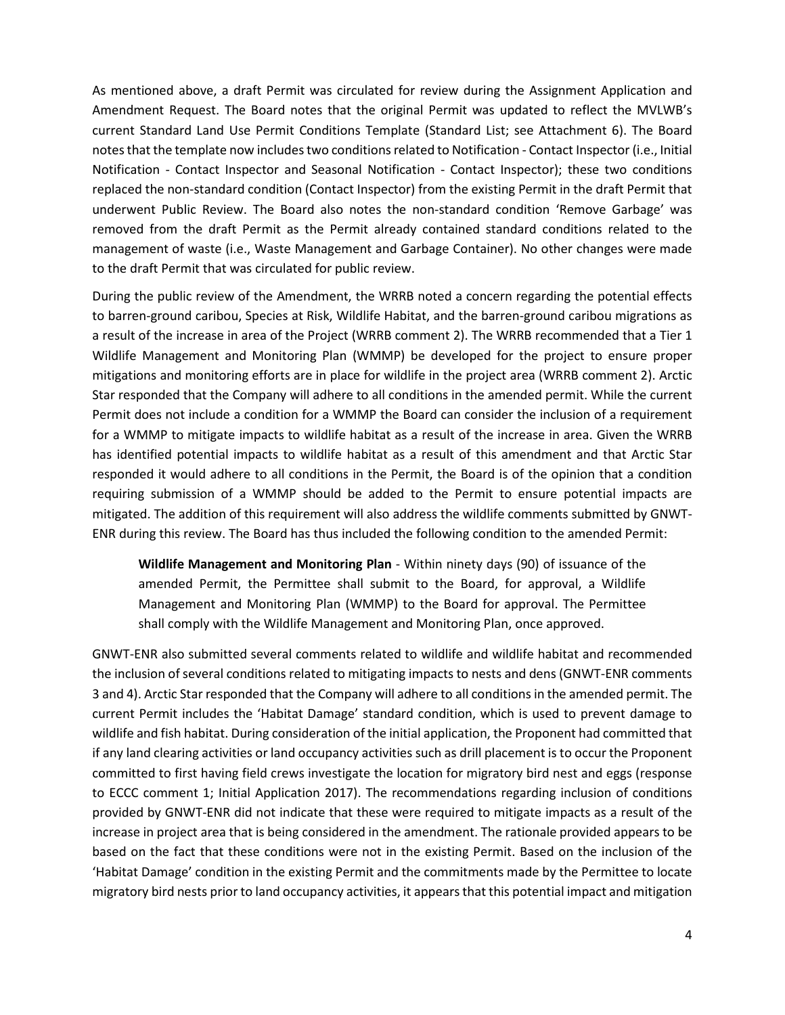As mentioned above, a draft Permit was circulated for review during the Assignment Application and Amendment Request. The Board notes that the original Permit was updated to reflect the MVLWB's current Standard Land Use Permit Conditions Template (Standard List; see Attachment 6). The Board notesthat the template now includes two conditions related to Notification - Contact Inspector (i.e., Initial Notification - Contact Inspector and Seasonal Notification - Contact Inspector); these two conditions replaced the non-standard condition (Contact Inspector) from the existing Permit in the draft Permit that underwent Public Review. The Board also notes the non-standard condition 'Remove Garbage' was removed from the draft Permit as the Permit already contained standard conditions related to the management of waste (i.e., Waste Management and Garbage Container). No other changes were made to the draft Permit that was circulated for public review.

During the public review of the Amendment, the WRRB noted a concern regarding the potential effects to barren-ground caribou, Species at Risk, Wildlife Habitat, and the barren-ground caribou migrations as a result of the increase in area of the Project (WRRB comment 2). The WRRB recommended that a Tier 1 Wildlife Management and Monitoring Plan (WMMP) be developed for the project to ensure proper mitigations and monitoring efforts are in place for wildlife in the project area (WRRB comment 2). Arctic Star responded that the Company will adhere to all conditions in the amended permit. While the current Permit does not include a condition for a WMMP the Board can consider the inclusion of a requirement for a WMMP to mitigate impacts to wildlife habitat as a result of the increase in area. Given the WRRB has identified potential impacts to wildlife habitat as a result of this amendment and that Arctic Star responded it would adhere to all conditions in the Permit, the Board is of the opinion that a condition requiring submission of a WMMP should be added to the Permit to ensure potential impacts are mitigated. The addition of this requirement will also address the wildlife comments submitted by GNWT-ENR during this review. The Board has thus included the following condition to the amended Permit:

**Wildlife Management and Monitoring Plan** - Within ninety days (90) of issuance of the amended Permit, the Permittee shall submit to the Board, for approval, a Wildlife Management and Monitoring Plan (WMMP) to the Board for approval. The Permittee shall comply with the Wildlife Management and Monitoring Plan, once approved.

GNWT-ENR also submitted several comments related to wildlife and wildlife habitat and recommended the inclusion of several conditions related to mitigating impacts to nests and dens (GNWT-ENR comments 3 and 4). Arctic Star responded that the Company will adhere to all conditions in the amended permit. The current Permit includes the 'Habitat Damage' standard condition, which is used to prevent damage to wildlife and fish habitat. During consideration of the initial application, the Proponent had committed that if any land clearing activities or land occupancy activities such as drill placement is to occur the Proponent committed to first having field crews investigate the location for migratory bird nest and eggs (response to ECCC comment 1; Initial Application 2017). The recommendations regarding inclusion of conditions provided by GNWT-ENR did not indicate that these were required to mitigate impacts as a result of the increase in project area that is being considered in the amendment. The rationale provided appears to be based on the fact that these conditions were not in the existing Permit. Based on the inclusion of the 'Habitat Damage' condition in the existing Permit and the commitments made by the Permittee to locate migratory bird nests prior to land occupancy activities, it appears that this potential impact and mitigation